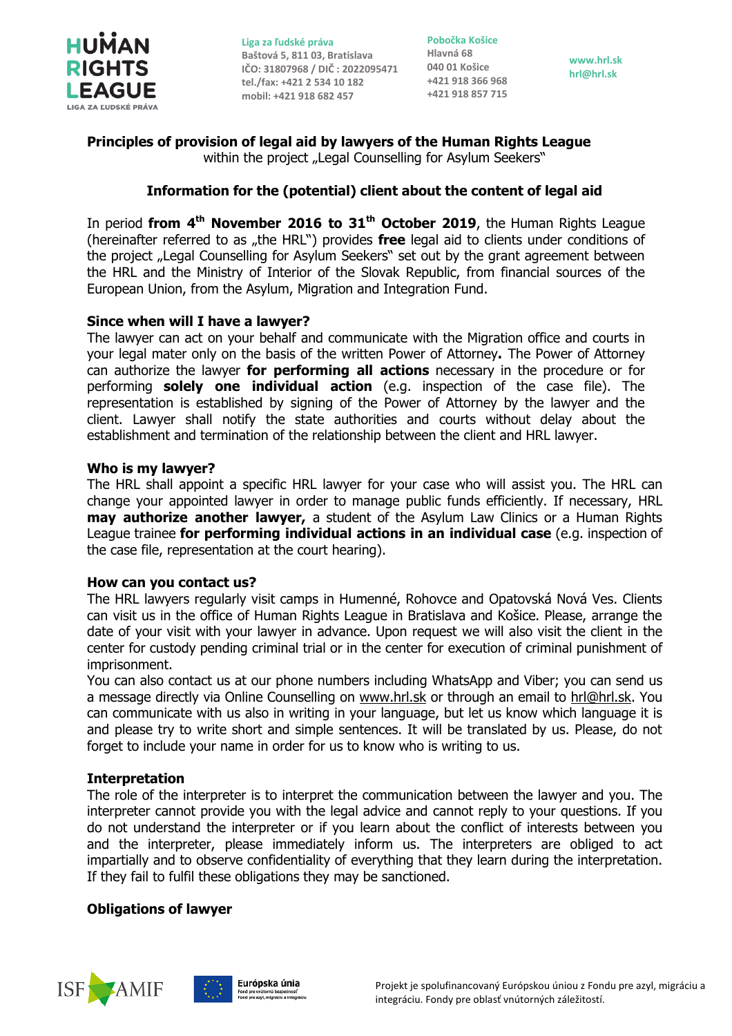

**Pobočka Košice Hlavná 68 +421 918 366 968 +421 918 857 715**

**www.hrl.sk hrl@hrl.sk**

# **Principles of provision of legal aid by lawyers of the Human Rights League** within the project "Legal Counselling for Asylum Seekers"

# **Information for the (potential) client about the content of legal aid**

In period **from 4th November 2016 to 31th October 2019**, the Human Rights League (hereinafter referred to as "the HRL") provides **free** legal aid to clients under conditions of the project "Legal Counselling for Asylum Seekers" set out by the grant agreement between the HRL and the Ministry of Interior of the Slovak Republic, from financial sources of the European Union, from the Asylum, Migration and Integration Fund.

# **Since when will I have a lawyer?**

The lawyer can act on your behalf and communicate with the Migration office and courts in your legal mater only on the basis of the written Power of Attorney**.** The Power of Attorney can authorize the lawyer **for performing all actions** necessary in the procedure or for performing **solely one individual action** (e.g. inspection of the case file). The representation is established by signing of the Power of Attorney by the lawyer and the client. Lawyer shall notify the state authorities and courts without delay about the establishment and termination of the relationship between the client and HRL lawyer.

### **Who is my lawyer?**

The HRL shall appoint a specific HRL lawyer for your case who will assist you. The HRL can change your appointed lawyer in order to manage public funds efficiently. If necessary, HRL **may authorize another lawyer,** a student of the Asylum Law Clinics or a Human Rights League trainee **for performing individual actions in an individual case** (e.g. inspection of the case file, representation at the court hearing).

### **How can you contact us?**

The HRL lawyers regularly visit camps in Humenné, Rohovce and Opatovská Nová Ves. Clients can visit us in the office of Human Rights League in Bratislava and Košice. Please, arrange the date of your visit with your lawyer in advance. Upon request we will also visit the client in the center for custody pending criminal trial or in the center for execution of criminal punishment of imprisonment.

You can also contact us at our phone numbers including WhatsApp and Viber; you can send us a message directly via Online Counselling on [www.hrl.sk](http://www.hrl.sk/) or through an email to [hrl@hrl.sk.](mailto:hrl@hrl.sk) You can communicate with us also in writing in your language, but let us know which language it is and please try to write short and simple sentences. It will be translated by us. Please, do not forget to include your name in order for us to know who is writing to us.

# **Interpretation**

The role of the interpreter is to interpret the communication between the lawyer and you. The interpreter cannot provide you with the legal advice and cannot reply to your questions. If you do not understand the interpreter or if you learn about the conflict of interests between you and the interpreter, please immediately inform us. The interpreters are obliged to act impartially and to observe confidentiality of everything that they learn during the interpretation. If they fail to fulfil these obligations they may be sanctioned.

### **Obligations of lawyer**



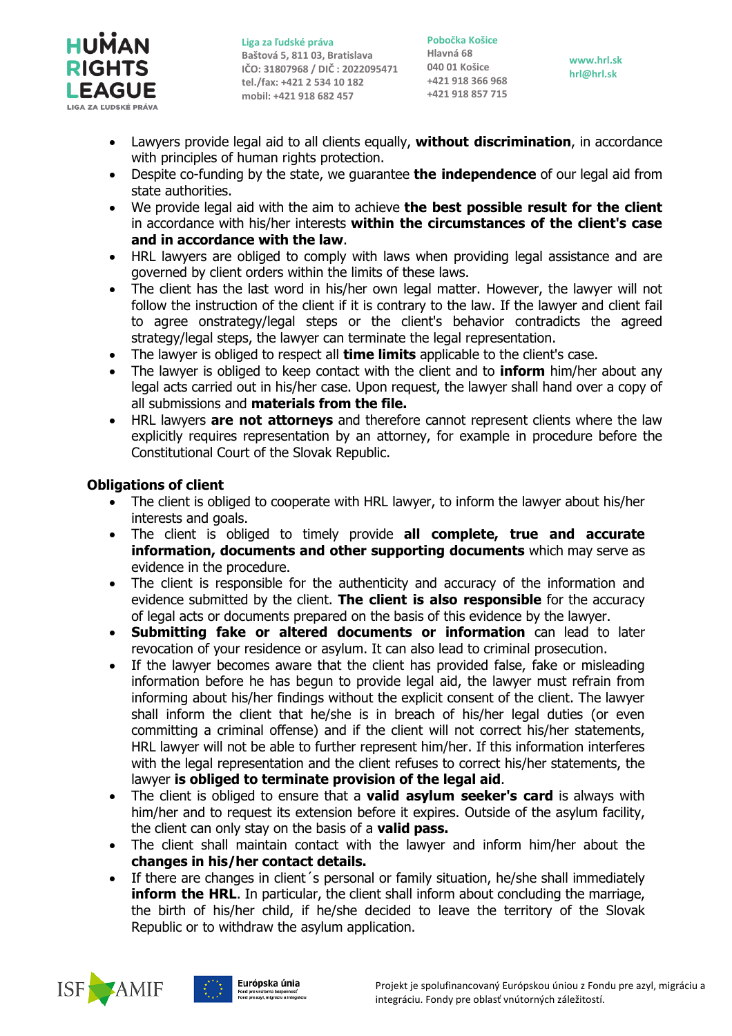

**Pobočka Košice Hlavná 68 +421 918 366 968 +421 918 857 715**

**www.hrl.sk hrl@hrl.sk**

- Lawyers provide legal aid to all clients equally, **without discrimination**, in accordance with principles of human rights protection.
- Despite co-funding by the state, we guarantee **the independence** of our legal aid from state authorities.
- We provide legal aid with the aim to achieve **the best possible result for the client** in accordance with his/her interests **within the circumstances of the client's case and in accordance with the law**.
- HRL lawyers are obliged to comply with laws when providing legal assistance and are governed by client orders within the limits of these laws.
- The client has the last word in his/her own legal matter. However, the lawyer will not follow the instruction of the client if it is contrary to the law. If the lawyer and client fail to agree onstrategy/legal steps or the client's behavior contradicts the agreed strategy/legal steps, the lawyer can terminate the legal representation.
- The lawyer is obliged to respect all **time limits** applicable to the client's case.
- The lawyer is obliged to keep contact with the client and to **inform** him/her about any legal acts carried out in his/her case. Upon request, the lawyer shall hand over a copy of all submissions and **materials from the file.**
- HRL lawyers **are not attorneys** and therefore cannot represent clients where the law explicitly requires representation by an attorney, for example in procedure before the Constitutional Court of the Slovak Republic.

# **Obligations of client**

- The client is obliged to cooperate with HRL lawyer, to inform the lawyer about his/her interests and goals.
- The client is obliged to timely provide **all complete, true and accurate information, documents and other supporting documents** which may serve as evidence in the procedure.
- The client is responsible for the authenticity and accuracy of the information and evidence submitted by the client. **The client is also responsible** for the accuracy of legal acts or documents prepared on the basis of this evidence by the lawyer.
- **Submitting fake or altered documents or information** can lead to later revocation of your residence or asylum. It can also lead to criminal prosecution.
- If the lawyer becomes aware that the client has provided false, fake or misleading information before he has begun to provide legal aid, the lawyer must refrain from informing about his/her findings without the explicit consent of the client. The lawyer shall inform the client that he/she is in breach of his/her legal duties (or even committing a criminal offense) and if the client will not correct his/her statements, HRL lawyer will not be able to further represent him/her. If this information interferes with the legal representation and the client refuses to correct his/her statements, the lawyer **is obliged to terminate provision of the legal aid**.
- The client is obliged to ensure that a **valid asylum seeker's card** is always with him/her and to request its extension before it expires. Outside of the asylum facility, the client can only stay on the basis of a **valid pass.**
- The client shall maintain contact with the lawyer and inform him/her about the **changes in his/her contact details.**
- If there are changes in client's personal or family situation, he/she shall immediately **inform the HRL.** In particular, the client shall inform about concluding the marriage, the birth of his/her child, if he/she decided to leave the territory of the Slovak Republic or to withdraw the asylum application.



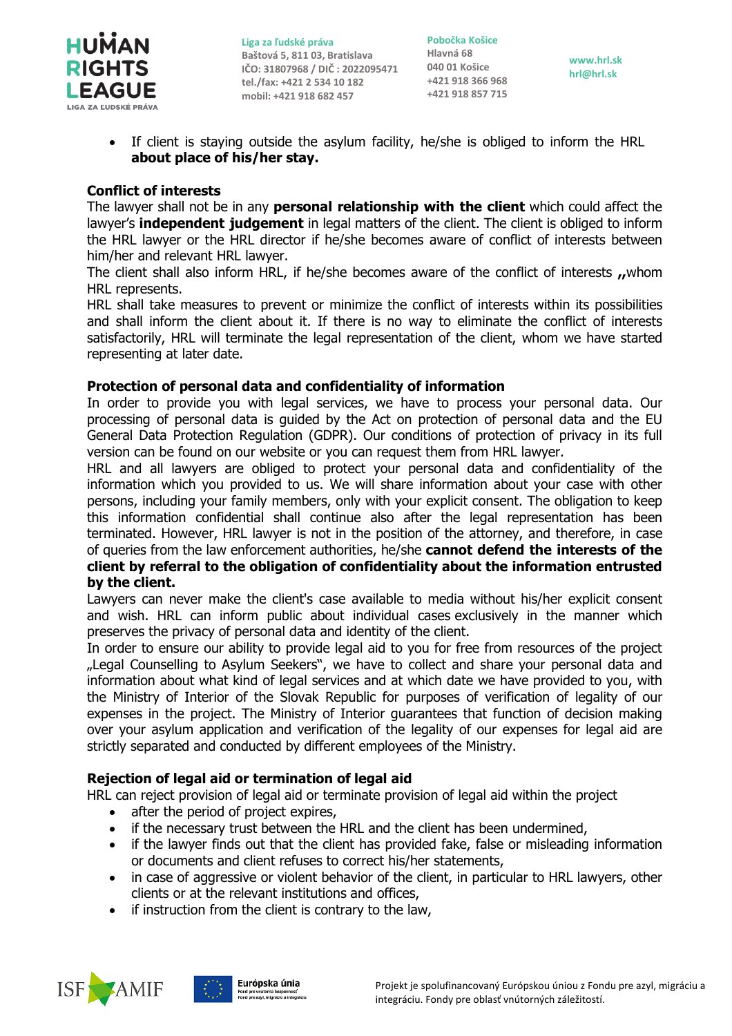

**Pobočka Košice Hlavná 68 +421 918 366 968 +421 918 857 715**

**www.hrl.sk hrl@hrl.sk**

 If client is staying outside the asylum facility, he/she is obliged to inform the HRL **about place of his/her stay.**

## **Conflict of interests**

The lawyer shall not be in any **personal relationship with the client** which could affect the lawyer's **independent judgement** in legal matters of the client. The client is obliged to inform the HRL lawyer or the HRL director if he/she becomes aware of conflict of interests between him/her and relevant HRL lawyer.

The client shall also inform HRL, if he/she becomes aware of the conflict of interests **,,**whom HRL represents.

HRL shall take measures to prevent or minimize the conflict of interests within its possibilities and shall inform the client about it. If there is no way to eliminate the conflict of interests satisfactorily, HRL will terminate the legal representation of the client, whom we have started representing at later date.

### **Protection of personal data and confidentiality of information**

In order to provide you with legal services, we have to process your personal data. Our processing of personal data is guided by the Act on protection of personal data and the EU General Data Protection Regulation (GDPR). Our conditions of protection of privacy in its full version can be found on our website or you can request them from HRL lawyer.

HRL and all lawyers are obliged to protect your personal data and confidentiality of the information which you provided to us. We will share information about your case with other persons, including your family members, only with your explicit consent. The obligation to keep this information confidential shall continue also after the legal representation has been terminated. However, HRL lawyer is not in the position of the attorney, and therefore, in case of queries from the law enforcement authorities, he/she **cannot defend the interests of the client by referral to the obligation of confidentiality about the information entrusted by the client.**

Lawyers can never make the client's case available to media without his/her explicit consent and wish. HRL can inform public about individual cases exclusively in the manner which preserves the privacy of personal data and identity of the client.

In order to ensure our ability to provide legal aid to you for free from resources of the project "Legal Counselling to Asylum Seekers", we have to collect and share your personal data and information about what kind of legal services and at which date we have provided to you, with the Ministry of Interior of the Slovak Republic for purposes of verification of legality of our expenses in the project. The Ministry of Interior guarantees that function of decision making over your asylum application and verification of the legality of our expenses for legal aid are strictly separated and conducted by different employees of the Ministry.

# **Rejection of legal aid or termination of legal aid**

HRL can reject provision of legal aid or terminate provision of legal aid within the project

- after the period of project expires,
- if the necessary trust between the HRL and the client has been undermined,
- if the lawyer finds out that the client has provided fake, false or misleading information or documents and client refuses to correct his/her statements,
- in case of aggressive or violent behavior of the client, in particular to HRL lawyers, other clients or at the relevant institutions and offices,
- if instruction from the client is contrary to the law,



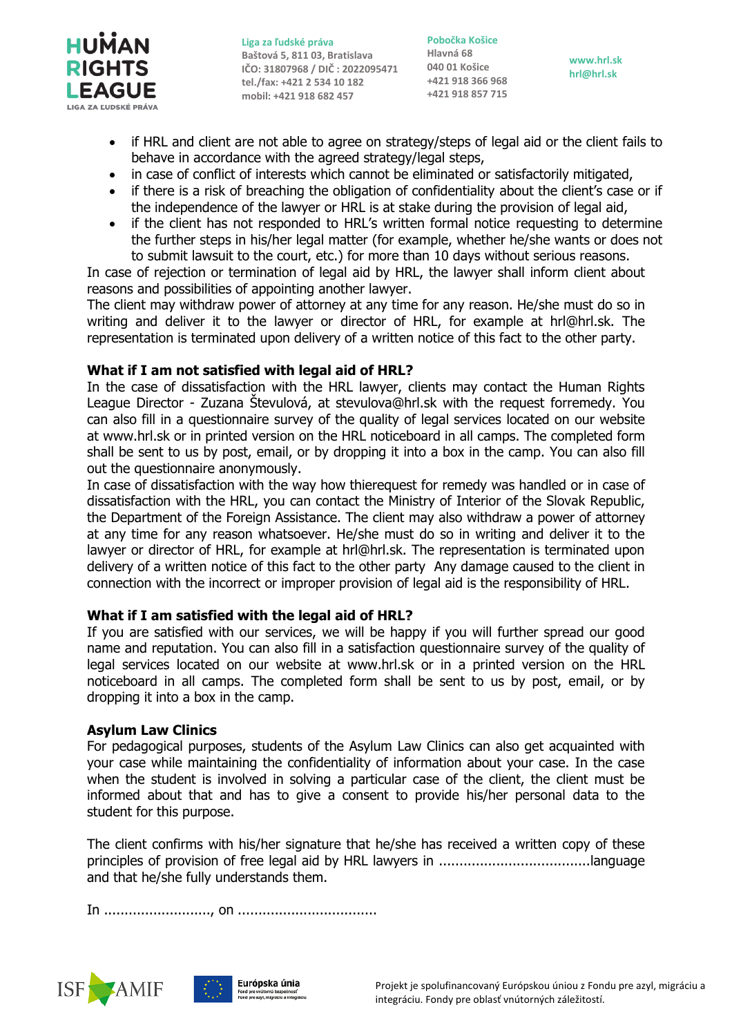

**Pobočka Košice Hlavná 68 +421 918 366 968 +421 918 857 715**

**www.hrl.sk hrl@hrl.sk**

- if HRL and client are not able to agree on strategy/steps of legal aid or the client fails to behave in accordance with the agreed strategy/legal steps,
- in case of conflict of interests which cannot be eliminated or satisfactorily mitigated,
- if there is a risk of breaching the obligation of confidentiality about the client's case or if the independence of the lawyer or HRL is at stake during the provision of legal aid,
- if the client has not responded to HRL's written formal notice requesting to determine the further steps in his/her legal matter (for example, whether he/she wants or does not to submit lawsuit to the court, etc.) for more than 10 days without serious reasons.

In case of rejection or termination of legal aid by HRL, the lawyer shall inform client about reasons and possibilities of appointing another lawyer.

The client may withdraw power of attorney at any time for any reason. He/she must do so in writing and deliver it to the lawyer or director of HRL, for example at hrl@hrl.sk. The representation is terminated upon delivery of a written notice of this fact to the other party.

### **What if I am not satisfied with legal aid of HRL?**

In the case of dissatisfaction with the HRL lawyer, clients may contact the Human Rights League Director - Zuzana Števulová, at stevulova@hrl.sk with the request forremedy. You can also fill in a questionnaire survey of the quality of legal services located on our website at www.hrl.sk or in printed version on the HRL noticeboard in all camps. The completed form shall be sent to us by post, email, or by dropping it into a box in the camp. You can also fill out the questionnaire anonymously.

In case of dissatisfaction with the way how thierequest for remedy was handled or in case of dissatisfaction with the HRL, you can contact the Ministry of Interior of the Slovak Republic, the Department of the Foreign Assistance. The client may also withdraw a power of attorney at any time for any reason whatsoever. He/she must do so in writing and deliver it to the lawyer or director of HRL, for example at hrl@hrl.sk. The representation is terminated upon delivery of a written notice of this fact to the other party Any damage caused to the client in connection with the incorrect or improper provision of legal aid is the responsibility of HRL.

### **What if I am satisfied with the legal aid of HRL?**

If you are satisfied with our services, we will be happy if you will further spread our good name and reputation. You can also fill in a satisfaction questionnaire survey of the quality of legal services located on our website at www.hrl.sk or in a printed version on the HRL noticeboard in all camps. The completed form shall be sent to us by post, email, or by dropping it into a box in the camp.

# **Asylum Law Clinics**

For pedagogical purposes, students of the Asylum Law Clinics can also get acquainted with your case while maintaining the confidentiality of information about your case. In the case when the student is involved in solving a particular case of the client, the client must be informed about that and has to give a consent to provide his/her personal data to the student for this purpose.

The client confirms with his/her signature that he/she has received a written copy of these principles of provision of free legal aid by HRL lawyers in .....................................language and that he/she fully understands them.

In .........................., on ..................................